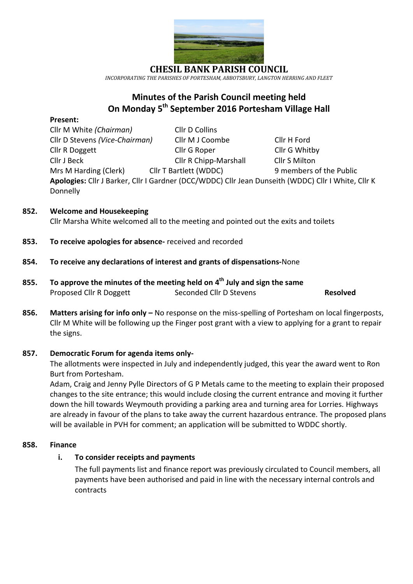

*INCORPORATING THE PARISHES OF PORTESHAM, ABBOTSBURY, LANGTON HERRING AND FLEET*

# **Minutes of the Parish Council meeting held On Monday 5 th September 2016 Portesham Village Hall**

#### **Present:**

Cllr M White *(Chairman)* Cllr D Collins Cllr D Stevens *(Vice-Chairman)* Cllr M J Coombe Cllr H Ford Cllr R Doggett Cllr G Roper Cllr G Whitby Cllr J Beck Cllr R Chipp-Marshall Cllr S Milton Mrs M Harding (Clerk) **Cllr T Bartlett (WDDC)** 9 members of the Public

**Apologies:** Cllr J Barker, Cllr I Gardner (DCC/WDDC) Cllr Jean Dunseith (WDDC) Cllr I White, Cllr K Donnelly

# **852. Welcome and Housekeeping**

Cllr Marsha White welcomed all to the meeting and pointed out the exits and toilets

**853. To receive apologies for absence-** received and recorded

## **854. To receive any declarations of interest and grants of dispensations-**None

- **855. To approve the minutes of the meeting held on 4 th July and sign the same** Proposed Cllr R Doggett Seconded Cllr D Stevens **Resolved**
- **856. Matters arising for info only –** No response on the miss-spelling of Portesham on local fingerposts, Cllr M White will be following up the Finger post grant with a view to applying for a grant to repair the signs.

#### **857. Democratic Forum for agenda items only-**

The allotments were inspected in July and independently judged, this year the award went to Ron Burt from Portesham.

Adam, Craig and Jenny Pylle Directors of G P Metals came to the meeting to explain their proposed changes to the site entrance; this would include closing the current entrance and moving it further down the hill towards Weymouth providing a parking area and turning area for Lorries. Highways are already in favour of the plans to take away the current hazardous entrance. The proposed plans will be available in PVH for comment; an application will be submitted to WDDC shortly.

#### **858. Finance**

# **i. To consider receipts and payments**

The full payments list and finance report was previously circulated to Council members, all payments have been authorised and paid in line with the necessary internal controls and contracts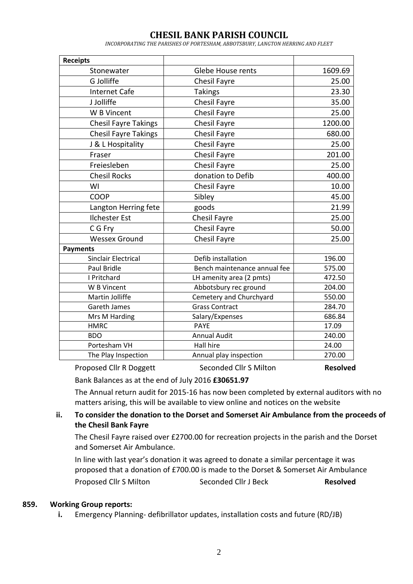*INCORPORATING THE PARISHES OF PORTESHAM, ABBOTSBURY, LANGTON HERRING AND FLEET*

| <b>Receipts</b>             |                              |         |
|-----------------------------|------------------------------|---------|
| Stonewater                  | <b>Glebe House rents</b>     | 1609.69 |
| G Jolliffe                  | <b>Chesil Fayre</b>          | 25.00   |
| <b>Internet Cafe</b>        | <b>Takings</b>               | 23.30   |
| J Jolliffe                  | <b>Chesil Fayre</b>          | 35.00   |
| W B Vincent                 | <b>Chesil Fayre</b>          | 25.00   |
| <b>Chesil Fayre Takings</b> | <b>Chesil Fayre</b>          | 1200.00 |
| <b>Chesil Fayre Takings</b> | <b>Chesil Fayre</b>          | 680.00  |
| J & L Hospitality           | Chesil Fayre                 | 25.00   |
| Fraser                      | <b>Chesil Fayre</b>          | 201.00  |
| Freiesleben                 | <b>Chesil Fayre</b>          | 25.00   |
| <b>Chesil Rocks</b>         | donation to Defib            | 400.00  |
| WI                          | Chesil Fayre                 | 10.00   |
| COOP                        | Sibley                       | 45.00   |
| Langton Herring fete        | goods                        | 21.99   |
| <b>Ilchester Est</b>        | Chesil Fayre                 | 25.00   |
| C G Fry                     | <b>Chesil Fayre</b>          | 50.00   |
| <b>Wessex Ground</b>        | <b>Chesil Fayre</b>          | 25.00   |
| <b>Payments</b>             |                              |         |
| <b>Sinclair Electrical</b>  | Defib installation           | 196.00  |
| <b>Paul Bridle</b>          | Bench maintenance annual fee | 575.00  |
| I Pritchard                 | LH amenity area (2 pmts)     | 472.50  |
| W B Vincent                 | Abbotsbury rec ground        | 204.00  |
| Martin Jolliffe             | Cemetery and Churchyard      | 550.00  |
| <b>Gareth James</b>         | <b>Grass Contract</b>        | 284.70  |
| Mrs M Harding               | Salary/Expenses              | 686.84  |
| <b>HMRC</b>                 | <b>PAYE</b>                  | 17.09   |
| <b>BDO</b>                  | <b>Annual Audit</b>          | 240.00  |
| Portesham VH                | <b>Hall hire</b>             | 24.00   |
| The Play Inspection         | Annual play inspection       | 270.00  |

Proposed Cllr R Doggett Seconded Cllr S Milton **Resolved**

Bank Balances as at the end of July 2016 **£30651.97**

The Annual return audit for 2015-16 has now been completed by external auditors with no matters arising, this will be available to view online and notices on the website

# **ii. To consider the donation to the Dorset and Somerset Air Ambulance from the proceeds of the Chesil Bank Fayre**

The Chesil Fayre raised over £2700.00 for recreation projects in the parish and the Dorset and Somerset Air Ambulance.

In line with last year's donation it was agreed to donate a similar percentage it was proposed that a donation of £700.00 is made to the Dorset & Somerset Air Ambulance Proposed Cllr S Milton Seconded Cllr J Beck **Resolved** 

#### **859. Working Group reports:**

**i.** Emergency Planning- defibrillator updates, installation costs and future (RD/JB)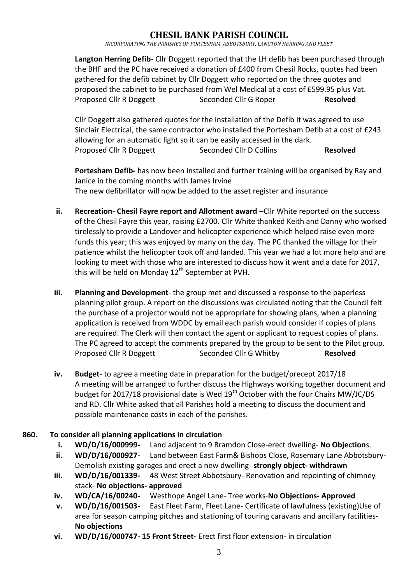*INCORPORATING THE PARISHES OF PORTESHAM, ABBOTSBURY, LANGTON HERRING AND FLEET*

**Langton Herring Defib**- Cllr Doggett reported that the LH defib has been purchased through the BHF and the PC have received a donation of £400 from Chesil Rocks, quotes had been gathered for the defib cabinet by Cllr Doggett who reported on the three quotes and proposed the cabinet to be purchased from Wel Medical at a cost of £599.95 plus Vat. Proposed Cllr R Doggett Seconded Cllr G Roper **Resolved**

Cllr Doggett also gathered quotes for the installation of the Defib it was agreed to use Sinclair Electrical, the same contractor who installed the Portesham Defib at a cost of £243 allowing for an automatic light so it can be easily accessed in the dark. Proposed Cllr R Doggett Seconded Cllr D Collins **Resolved** 

**Portesham Defib-** has now been installed and further training will be organised by Ray and Janice in the coming months with James Irvine The new defibrillator will now be added to the asset register and insurance

- **ii. Recreation- Chesil Fayre report and Allotment award** –Cllr White reported on the success of the Chesil Fayre this year, raising £2700. Cllr White thanked Keith and Danny who worked tirelessly to provide a Landover and helicopter experience which helped raise even more funds this year; this was enjoyed by many on the day. The PC thanked the village for their patience whilst the helicopter took off and landed. This year we had a lot more help and are looking to meet with those who are interested to discuss how it went and a date for 2017, this will be held on Monday  $12<sup>th</sup>$  September at PVH.
- **iii. Planning and Development** the group met and discussed a response to the paperless planning pilot group. A report on the discussions was circulated noting that the Council felt the purchase of a projector would not be appropriate for showing plans, when a planning application is received from WDDC by email each parish would consider if copies of plans are required. The Clerk will then contact the agent or applicant to request copies of plans. The PC agreed to accept the comments prepared by the group to be sent to the Pilot group. Proposed Cllr R Doggett Seconded Cllr G Whitby **Resolved**
- **iv. Budget** to agree a meeting date in preparation for the budget/precept 2017/18 A meeting will be arranged to further discuss the Highways working together document and budget for 2017/18 provisional date is Wed  $19<sup>th</sup>$  October with the four Chairs MW/JC/DS and RD. Cllr White asked that all Parishes hold a meeting to discuss the document and possible maintenance costs in each of the parishes.

# **860. To consider all planning applications in circulation**

- **i. WD/D/16/000999-** Land adjacent to 9 Bramdon Close-erect dwelling- **No Objection**s.
- **ii. WD/D/16/000927-** Land between East Farm& Bishops Close, Rosemary Lane Abbotsbury-Demolish existing garages and erect a new dwelling- **strongly object- withdrawn**
- **iii. WD/D/16/001339-** 48 West Street Abbotsbury- Renovation and repointing of chimney stack- **No objections- approved**
- **iv. WD/CA/16/00240-** Westhope Angel Lane- Tree works-**No Objections- Approved**
- **v. WD/D/16/001503-** East Fleet Farm, Fleet Lane- Certificate of lawfulness (existing)Use of area for season camping pitches and stationing of touring caravans and ancillary facilities-**No objections**
- **vi. WD/D/16/000747- 15 Front Street-** Erect first floor extension- in circulation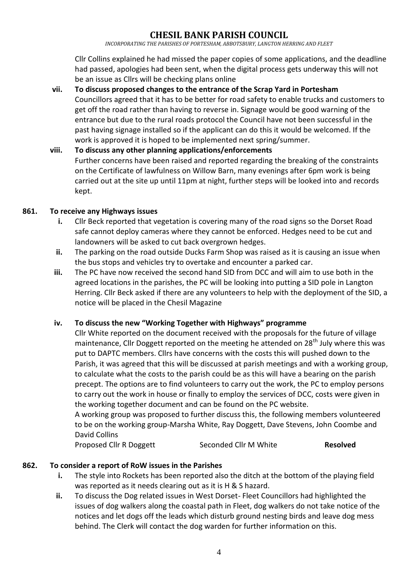*INCORPORATING THE PARISHES OF PORTESHAM, ABBOTSBURY, LANGTON HERRING AND FLEET*

Cllr Collins explained he had missed the paper copies of some applications, and the deadline had passed, apologies had been sent, when the digital process gets underway this will not be an issue as Cllrs will be checking plans online

- **vii. To discuss proposed changes to the entrance of the Scrap Yard in Portesham** Councillors agreed that it has to be better for road safety to enable trucks and customers to get off the road rather than having to reverse in. Signage would be good warning of the entrance but due to the rural roads protocol the Council have not been successful in the past having signage installed so if the applicant can do this it would be welcomed. If the work is approved it is hoped to be implemented next spring/summer.
- **viii. To discuss any other planning applications/enforcements** Further concerns have been raised and reported regarding the breaking of the constraints on the Certificate of lawfulness on Willow Barn, many evenings after 6pm work is being carried out at the site up until 11pm at night, further steps will be looked into and records kept.

## **861. To receive any Highways issues**

- **i.** Cllr Beck reported that vegetation is covering many of the road signs so the Dorset Road safe cannot deploy cameras where they cannot be enforced. Hedges need to be cut and landowners will be asked to cut back overgrown hedges.
- **ii.** The parking on the road outside Ducks Farm Shop was raised as it is causing an issue when the bus stops and vehicles try to overtake and encounter a parked car.
- **iii.** The PC have now received the second hand SID from DCC and will aim to use both in the agreed locations in the parishes, the PC will be looking into putting a SID pole in Langton Herring. Cllr Beck asked if there are any volunteers to help with the deployment of the SID, a notice will be placed in the Chesil Magazine

# **iv. To discuss the new "Working Together with Highways" programme**

Cllr White reported on the document received with the proposals for the future of village maintenance, Cllr Doggett reported on the meeting he attended on  $28<sup>th</sup>$  July where this was put to DAPTC members. Cllrs have concerns with the costs this will pushed down to the Parish, it was agreed that this will be discussed at parish meetings and with a working group, to calculate what the costs to the parish could be as this will have a bearing on the parish precept. The options are to find volunteers to carry out the work, the PC to employ persons to carry out the work in house or finally to employ the services of DCC, costs were given in the working together document and can be found on the PC website.

A working group was proposed to further discuss this, the following members volunteered to be on the working group-Marsha White, Ray Doggett, Dave Stevens, John Coombe and David Collins

Proposed Cllr R Doggett Seconded Cllr M White **Resolved**

#### **862. To consider a report of RoW issues in the Parishes**

- **i.** The style into Rockets has been reported also the ditch at the bottom of the playing field was reported as it needs clearing out as it is H & S hazard.
- **ii.** To discuss the Dog related issues in West Dorset- Fleet Councillors had highlighted the issues of dog walkers along the coastal path in Fleet, dog walkers do not take notice of the notices and let dogs off the leads which disturb ground nesting birds and leave dog mess behind. The Clerk will contact the dog warden for further information on this.